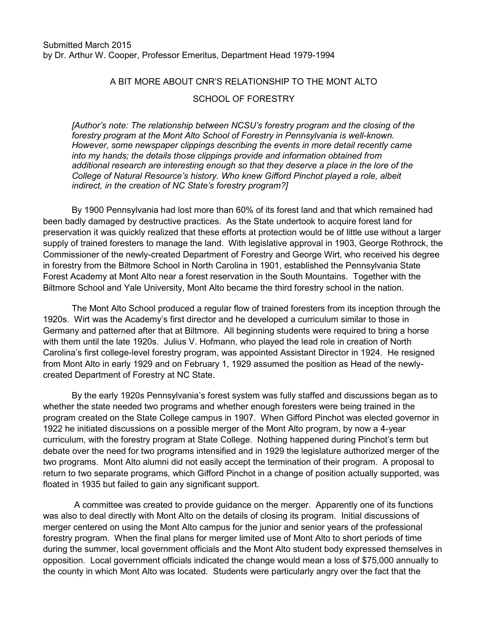## A BIT MORE ABOUT CNR'S RELATIONSHIP TO THE MONT ALTO

## SCHOOL OF FORESTRY

*[Author's note: The relationship between NCSU's forestry program and the closing of the forestry program at the Mont Alto School of Forestry in Pennsylvania is well-known. However, some newspaper clippings describing the events in more detail recently came into my hands; the details those clippings provide and information obtained from additional research are interesting enough so that they deserve a place in the lore of the College of Natural Resource's history. Who knew Gifford Pinchot played a role, albeit indirect, in the creation of NC State's forestry program?]*

By 1900 Pennsylvania had lost more than 60% of its forest land and that which remained had been badly damaged by destructive practices. As the State undertook to acquire forest land for preservation it was quickly realized that these efforts at protection would be of little use without a larger supply of trained foresters to manage the land. With legislative approval in 1903, George Rothrock, the Commissioner of the newly-created Department of Forestry and George Wirt, who received his degree in forestry from the Biltmore School in North Carolina in 1901, established the Pennsylvania State Forest Academy at Mont Alto near a forest reservation in the South Mountains. Together with the Biltmore School and Yale University, Mont Alto became the third forestry school in the nation.

The Mont Alto School produced a regular flow of trained foresters from its inception through the 1920s. Wirt was the Academy's first director and he developed a curriculum similar to those in Germany and patterned after that at Biltmore. All beginning students were required to bring a horse with them until the late 1920s. Julius V. Hofmann, who played the lead role in creation of North Carolina's first college-level forestry program, was appointed Assistant Director in 1924. He resigned from Mont Alto in early 1929 and on February 1, 1929 assumed the position as Head of the newlycreated Department of Forestry at NC State.

By the early 1920s Pennsylvania's forest system was fully staffed and discussions began as to whether the state needed two programs and whether enough foresters were being trained in the program created on the State College campus in 1907. When Gifford Pinchot was elected governor in 1922 he initiated discussions on a possible merger of the Mont Alto program, by now a 4-year curriculum, with the forestry program at State College. Nothing happened during Pinchot's term but debate over the need for two programs intensified and in 1929 the legislature authorized merger of the two programs. Mont Alto alumni did not easily accept the termination of their program. A proposal to return to two separate programs, which Gifford Pinchot in a change of position actually supported, was floated in 1935 but failed to gain any significant support.

A committee was created to provide guidance on the merger. Apparently one of its functions was also to deal directly with Mont Alto on the details of closing its program. Initial discussions of merger centered on using the Mont Alto campus for the junior and senior years of the professional forestry program. When the final plans for merger limited use of Mont Alto to short periods of time during the summer, local government officials and the Mont Alto student body expressed themselves in opposition. Local government officials indicated the change would mean a loss of \$75,000 annually to the county in which Mont Alto was located. Students were particularly angry over the fact that the